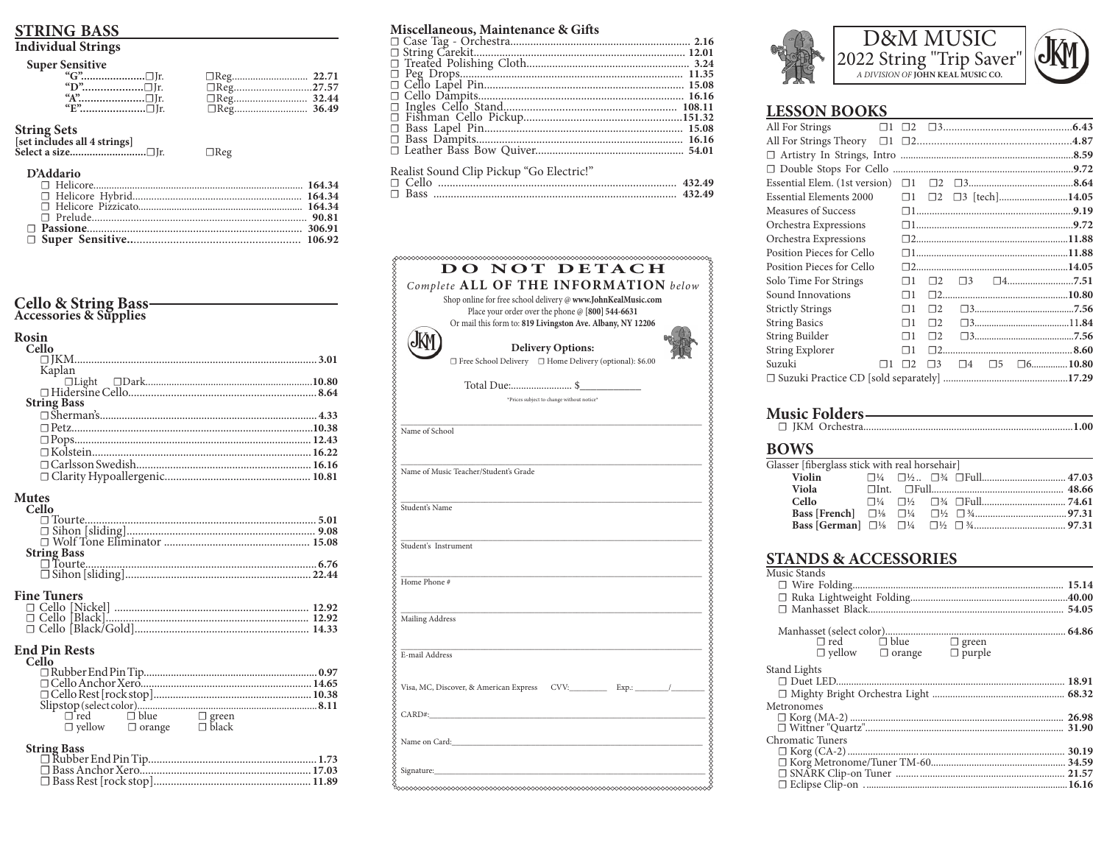### **STRING BASS**

### **Individual Strings**

| $\Box$ Reg27.57 |  |
|-----------------|--|
|                 |  |
|                 |  |

 $\Box$ Reg

## String Sets

| set includes all 4 strings |                   |  |
|----------------------------|-------------------|--|
|                            | Select a size□Ir. |  |

#### **D'Addario**

# Cello & String Bass-<br>Accessories & Supplies

Rosin

| Cello                                                                                                                                                                                          |
|------------------------------------------------------------------------------------------------------------------------------------------------------------------------------------------------|
|                                                                                                                                                                                                |
| Kaplan                                                                                                                                                                                         |
|                                                                                                                                                                                                |
|                                                                                                                                                                                                |
| <b>String Bass</b>                                                                                                                                                                             |
|                                                                                                                                                                                                |
|                                                                                                                                                                                                |
|                                                                                                                                                                                                |
|                                                                                                                                                                                                |
|                                                                                                                                                                                                |
|                                                                                                                                                                                                |
|                                                                                                                                                                                                |
|                                                                                                                                                                                                |
| <b>Mutes</b>                                                                                                                                                                                   |
| Cello                                                                                                                                                                                          |
|                                                                                                                                                                                                |
|                                                                                                                                                                                                |
|                                                                                                                                                                                                |
| <b>String Bass</b>                                                                                                                                                                             |
|                                                                                                                                                                                                |
|                                                                                                                                                                                                |
|                                                                                                                                                                                                |
| <b>Fine Tuners</b>                                                                                                                                                                             |
|                                                                                                                                                                                                |
|                                                                                                                                                                                                |
|                                                                                                                                                                                                |
|                                                                                                                                                                                                |
| <b>End Pin Rests</b>                                                                                                                                                                           |
| Cello                                                                                                                                                                                          |
|                                                                                                                                                                                                |
|                                                                                                                                                                                                |
|                                                                                                                                                                                                |
|                                                                                                                                                                                                |
|                                                                                                                                                                                                |
| $\begin{tabular}{ll} $\fbox{red} \quad \quad \quad $\fbox{blue}$ & \quad \quad $\mathbb{C}$ green \\ $\mathbb{C}$ yellow & $\mathbb{C}$ orange & \quad \quad $\mathbb{C}$ black \end{tabular}$ |
|                                                                                                                                                                                                |
| <b>String Bass</b>                                                                                                                                                                             |
|                                                                                                                                                                                                |
|                                                                                                                                                                                                |
|                                                                                                                                                                                                |
|                                                                                                                                                                                                |

#### Miscellaneous, Maintenance & Gifts

| niideenanevadi maannenanee ei sino |  |
|------------------------------------|--|
|                                    |  |
|                                    |  |
|                                    |  |
|                                    |  |
|                                    |  |
|                                    |  |
|                                    |  |
|                                    |  |
|                                    |  |
|                                    |  |
|                                    |  |
|                                    |  |

#### Realist Sound Clip Pickup "Go Electric!"

| $\Box$ Cello | 432.49 |
|--------------|--------|
| $\Box$ Bass  | 432.49 |







 $.1.00$ 

### **LESSON BOOKS**

| All For Strings           |          |             |          |  |                                        |
|---------------------------|----------|-------------|----------|--|----------------------------------------|
|                           |          |             |          |  |                                        |
|                           |          |             |          |  |                                        |
|                           |          |             |          |  |                                        |
|                           |          |             |          |  |                                        |
| Essential Elements 2000   |          |             |          |  | $\Box$ 1 $\Box$ 2 $\Box$ 3 [tech]14.05 |
| Measures of Success       |          |             |          |  |                                        |
| Orchestra Expressions     |          |             |          |  |                                        |
| Orchestra Expressions     |          |             |          |  |                                        |
| Position Pieces for Cello |          |             |          |  |                                        |
| Position Pieces for Cello |          |             |          |  |                                        |
| Solo Time For Strings     | Пl       | $\square$   | $\Box 3$ |  |                                        |
| Sound Innovations         | $\Box$ 1 |             |          |  |                                        |
| <b>Strictly Strings</b>   | $\Box$ 1 | $\square$ 2 |          |  |                                        |
| <b>String Basics</b>      | $\Box$ 1 | $\square$ 2 |          |  |                                        |
| String Builder            | $\Box$ 1 | $\square$ 2 |          |  |                                        |
| <b>String Explorer</b>    | $\Box$ 1 | $\square$ 2 |          |  |                                        |
| Suzuki<br>$\Box$ 1        | $\Box$ 2 | $\Box$ 3    | $\Box 4$ |  | $\square 5$ $\square 6$ 10.80          |
|                           |          |             |          |  |                                        |

### Music Folders-

### **BOWS**

| Glasser [fiberglass stick with real horsehair] |  |  |  |
|------------------------------------------------|--|--|--|
| Violin                                         |  |  |  |
|                                                |  |  |  |
| Cello                                          |  |  |  |
|                                                |  |  |  |
|                                                |  |  |  |
|                                                |  |  |  |

### **STANDS & ACCESSORIES**

| Music Stands                                                                                                                                                                      |  |
|-----------------------------------------------------------------------------------------------------------------------------------------------------------------------------------|--|
|                                                                                                                                                                                   |  |
|                                                                                                                                                                                   |  |
|                                                                                                                                                                                   |  |
|                                                                                                                                                                                   |  |
| $\begin{array}{ccc}\n\square \text{ red} & \square \text{ blue} & \square \text{ green} \\ \square \text{ yellow} & \square \text{ orange} & \square \text{ purple}\n\end{array}$ |  |
|                                                                                                                                                                                   |  |
| Stand Lights                                                                                                                                                                      |  |
|                                                                                                                                                                                   |  |
|                                                                                                                                                                                   |  |
| Metronomes                                                                                                                                                                        |  |
| $\begin{tabular}{l} $\fbox{D Korg (MA-2)}$.\label{tab:3} $\fbox{D Witten "Quartz"}. \end{tabular}$ $\begin{tabular}{l} $\fbox{D Witten "Quartz"}. \end{tabular}$                  |  |
|                                                                                                                                                                                   |  |
| <b>Chromatic Tuners</b>                                                                                                                                                           |  |
|                                                                                                                                                                                   |  |
|                                                                                                                                                                                   |  |
|                                                                                                                                                                                   |  |
|                                                                                                                                                                                   |  |
|                                                                                                                                                                                   |  |